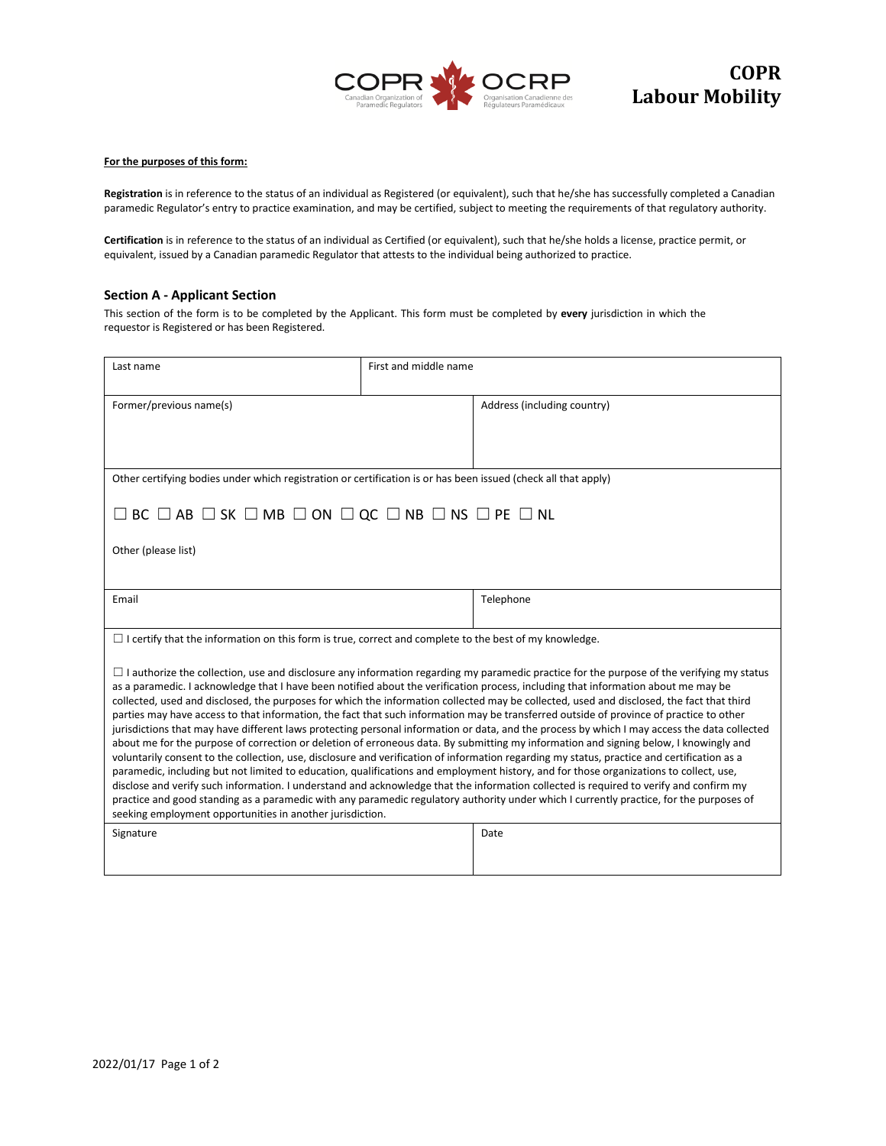

## **For the purposes of this form:**

**Registration** is in reference to the status of an individual as Registered (or equivalent), such that he/she has successfully completed a Canadian paramedic Regulator's entry to practice examination, and may be certified, subject to meeting the requirements of that regulatory authority.

**Certification** is in reference to the status of an individual as Certified (or equivalent), such that he/she holds a license, practice permit, or equivalent, issued by a Canadian paramedic Regulator that attests to the individual being authorized to practice.

## **Section A - Applicant Section**

This section of the form is to be completed by the Applicant. This form must be completed by **every** jurisdiction in which the requestor is Registered or has been Registered.

| Last name                                                                                                                                                                                                                                                                                                                                                                                                                                                                                                                                                                                                                                                                                                                                                                                                                                                                                                                                                                                                                                                                                                                                                                                                                                                                                                                                                                                                                                                                                                          | First and middle name       |  |  |  |  |
|--------------------------------------------------------------------------------------------------------------------------------------------------------------------------------------------------------------------------------------------------------------------------------------------------------------------------------------------------------------------------------------------------------------------------------------------------------------------------------------------------------------------------------------------------------------------------------------------------------------------------------------------------------------------------------------------------------------------------------------------------------------------------------------------------------------------------------------------------------------------------------------------------------------------------------------------------------------------------------------------------------------------------------------------------------------------------------------------------------------------------------------------------------------------------------------------------------------------------------------------------------------------------------------------------------------------------------------------------------------------------------------------------------------------------------------------------------------------------------------------------------------------|-----------------------------|--|--|--|--|
| Former/previous name(s)                                                                                                                                                                                                                                                                                                                                                                                                                                                                                                                                                                                                                                                                                                                                                                                                                                                                                                                                                                                                                                                                                                                                                                                                                                                                                                                                                                                                                                                                                            | Address (including country) |  |  |  |  |
| Other certifying bodies under which registration or certification is or has been issued (check all that apply)                                                                                                                                                                                                                                                                                                                                                                                                                                                                                                                                                                                                                                                                                                                                                                                                                                                                                                                                                                                                                                                                                                                                                                                                                                                                                                                                                                                                     |                             |  |  |  |  |
| $\Box$ BC $\Box$ AB $\Box$ SK $\Box$ MB $\Box$ ON $\Box$ QC $\Box$ NB $\Box$ NS $\Box$ PE $\Box$ NL                                                                                                                                                                                                                                                                                                                                                                                                                                                                                                                                                                                                                                                                                                                                                                                                                                                                                                                                                                                                                                                                                                                                                                                                                                                                                                                                                                                                                |                             |  |  |  |  |
| Other (please list)                                                                                                                                                                                                                                                                                                                                                                                                                                                                                                                                                                                                                                                                                                                                                                                                                                                                                                                                                                                                                                                                                                                                                                                                                                                                                                                                                                                                                                                                                                |                             |  |  |  |  |
| Email                                                                                                                                                                                                                                                                                                                                                                                                                                                                                                                                                                                                                                                                                                                                                                                                                                                                                                                                                                                                                                                                                                                                                                                                                                                                                                                                                                                                                                                                                                              | Telephone                   |  |  |  |  |
| $\Box$ I certify that the information on this form is true, correct and complete to the best of my knowledge.                                                                                                                                                                                                                                                                                                                                                                                                                                                                                                                                                                                                                                                                                                                                                                                                                                                                                                                                                                                                                                                                                                                                                                                                                                                                                                                                                                                                      |                             |  |  |  |  |
| $\Box$ I authorize the collection, use and disclosure any information regarding my paramedic practice for the purpose of the verifying my status<br>as a paramedic. I acknowledge that I have been notified about the verification process, including that information about me may be<br>collected, used and disclosed, the purposes for which the information collected may be collected, used and disclosed, the fact that third<br>parties may have access to that information, the fact that such information may be transferred outside of province of practice to other<br>jurisdictions that may have different laws protecting personal information or data, and the process by which I may access the data collected<br>about me for the purpose of correction or deletion of erroneous data. By submitting my information and signing below, I knowingly and<br>voluntarily consent to the collection, use, disclosure and verification of information regarding my status, practice and certification as a<br>paramedic, including but not limited to education, qualifications and employment history, and for those organizations to collect, use,<br>disclose and verify such information. I understand and acknowledge that the information collected is required to verify and confirm my<br>practice and good standing as a paramedic with any paramedic regulatory authority under which I currently practice, for the purposes of<br>seeking employment opportunities in another jurisdiction. |                             |  |  |  |  |
| Signature                                                                                                                                                                                                                                                                                                                                                                                                                                                                                                                                                                                                                                                                                                                                                                                                                                                                                                                                                                                                                                                                                                                                                                                                                                                                                                                                                                                                                                                                                                          | Date                        |  |  |  |  |